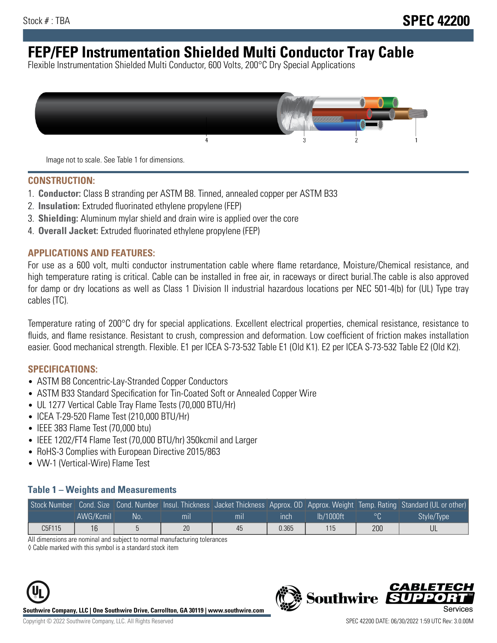# **FEP/FEP Instrumentation Shielded Multi Conductor Tray Cable**

Flexible Instrumentation Shielded Multi Conductor, 600 Volts, 200°C Dry Special Applications



Image not to scale. See Table 1 for dimensions.

#### **CONSTRUCTION:**

- 1. **Conductor:** Class B stranding per ASTM B8. Tinned, annealed copper per ASTM B33
- 2. **Insulation:** Extruded fluorinated ethylene propylene (FEP)
- 3. **Shielding:** Aluminum mylar shield and drain wire is applied over the core
- 4. **Overall Jacket:** Extruded fluorinated ethylene propylene (FEP)

#### **APPLICATIONS AND FEATURES:**

For use as a 600 volt, multi conductor instrumentation cable where flame retardance, Moisture/Chemical resistance, and high temperature rating is critical. Cable can be installed in free air, in raceways or direct burial.The cable is also approved for damp or dry locations as well as Class 1 Division II industrial hazardous locations per NEC 501-4(b) for (UL) Type tray cables (TC).

Temperature rating of 200°C dry for special applications. Excellent electrical properties, chemical resistance, resistance to fluids, and flame resistance. Resistant to crush, compression and deformation. Low coefficient of friction makes installation easier. Good mechanical strength. Flexible. E1 per ICEA S-73-532 Table E1 (Old K1). E2 per ICEA S-73-532 Table E2 (Old K2).

#### **SPECIFICATIONS:**

- ASTM B8 Concentric-Lay-Stranded Copper Conductors
- ASTM B33 Standard Specification for Tin-Coated Soft or Annealed Copper Wire
- UL 1277 Vertical Cable Tray Flame Tests (70,000 BTU/Hr)
- ICEA T-29-520 Flame Test (210,000 BTU/Hr)
- IEEE 383 Flame Test (70,000 btu)
- IEEE 1202/FT4 Flame Test (70,000 BTU/hr) 350kcmil and Larger
- RoHS-3 Complies with European Directive 2015/863
- VW-1 (Vertical-Wire) Flame Test

#### **Table 1 – Weights and Measurements**

|        |           |    |                |                |             |           |     | Stock Number Cond. Size Cond. Number Insul. Thickness Jacket Thickness Approx. OD Approx. Weight Temp. Rating Standard (UL or other) |
|--------|-----------|----|----------------|----------------|-------------|-----------|-----|--------------------------------------------------------------------------------------------------------------------------------------|
|        | AWG/Kcmil | N٥ | m <sub>l</sub> | m <sub>l</sub> | <b>inch</b> | Ib/1000ft |     | Style/Type                                                                                                                           |
| C5F115 | 16        |    | 20             | 45             | 0.365       | 115       | 200 |                                                                                                                                      |

All dimensions are nominal and subject to normal manufacturing tolerances

◊ Cable marked with this symbol is a standard stock item